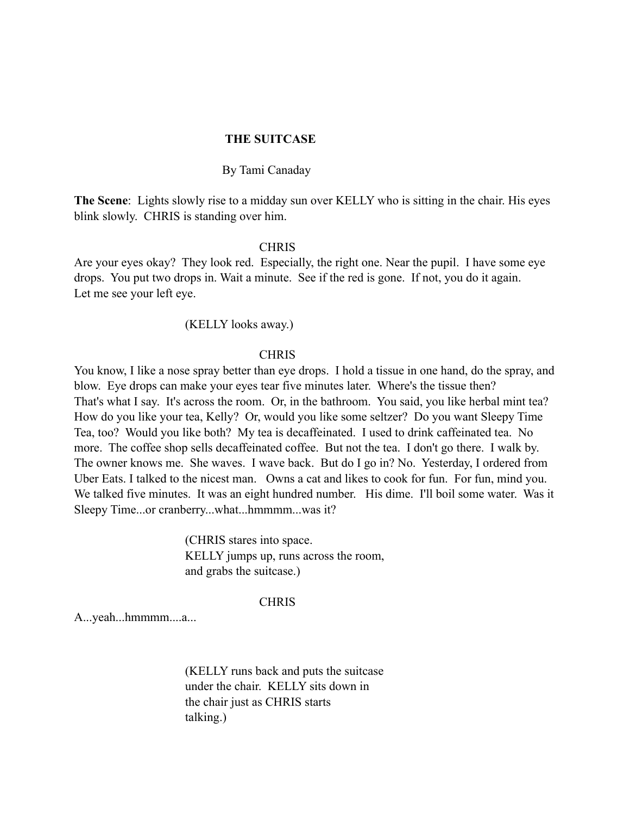# **THE SUITCASE**

# By Tami Canaday

**The Scene**: Lights slowly rise to a midday sun over KELLY who is sitting in the chair. His eyes blink slowly. CHRIS is standing over him.

### **CHRIS**

Are your eyes okay? They look red. Especially, the right one. Near the pupil. I have some eye drops. You put two drops in. Wait a minute. See if the red is gone. If not, you do it again. Let me see your left eye.

# (KELLY looks away.)

# **CHRIS**

You know, I like a nose spray better than eye drops. I hold a tissue in one hand, do the spray, and blow. Eye drops can make your eyes tear five minutes later. Where's the tissue then? That's what I say. It's across the room. Or, in the bathroom. You said, you like herbal mint tea? How do you like your tea, Kelly? Or, would you like some seltzer? Do you want Sleepy Time Tea, too? Would you like both? My tea is decaffeinated. I used to drink caffeinated tea. No more. The coffee shop sells decaffeinated coffee. But not the tea. I don't go there. I walk by. The owner knows me. She waves. I wave back. But do I go in? No. Yesterday, I ordered from Uber Eats. I talked to the nicest man. Owns a cat and likes to cook for fun. For fun, mind you. We talked five minutes. It was an eight hundred number. His dime. I'll boil some water. Was it Sleepy Time...or cranberry...what...hmmmm...was it?

> (CHRIS stares into space. KELLY jumps up, runs across the room, and grabs the suitcase.)

### **CHRIS**

A...yeah...hmmmm....a...

 (KELLY runs back and puts the suitcase under the chair. KELLY sits down in the chair just as CHRIS starts talking.)